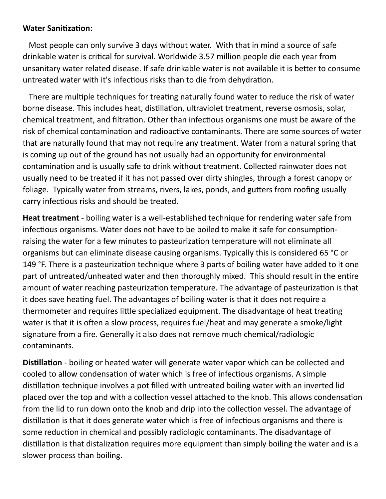## **Water Sanitization:**

 Most people can only survive 3 days without water. With that in mind a source of safe drinkable water is critical for survival. Worldwide 3.57 million people die each year from unsanitary water related disease. If safe drinkable water is not available it is better to consume untreated water with it's infectious risks than to die from dehydration.

 There are multiple techniques for treating naturally found water to reduce the risk of water borne disease. This includes heat, distillation, ultraviolet treatment, reverse osmosis, solar, chemical treatment, and filtration. Other than infectious organisms one must be aware of the risk of chemical contamination and radioactive contaminants. There are some sources of water that are naturally found that may not require any treatment. Water from a natural spring that is coming up out of the ground has not usually had an opportunity for environmental contamination and is usually safe to drink without treatment. Collected rainwater does not usually need to be treated if it has not passed over dirty shingles, through a forest canopy or foliage. Typically water from streams, rivers, lakes, ponds, and gutters from roofing usually carry infectious risks and should be treated.

**Heat treatment** - boiling water is a well-established technique for rendering water safe from infectious organisms. Water does not have to be boiled to make it safe for consumptionraising the water for a few minutes to pasteurization temperature will not eliminate all organisms but can eliminate disease causing organisms. Typically this is considered 65 °C or 149 °F. There is a pasteurization technique where 3 parts of boiling water have added to it one part of untreated/unheated water and then thoroughly mixed. This should result in the entire amount of water reaching pasteurization temperature. The advantage of pasteurization is that it does save heating fuel. The advantages of boiling water is that it does not require a thermometer and requires little specialized equipment. The disadvantage of heat treating water is that it is often a slow process, requires fuel/heat and may generate a smoke/light signature from a fire. Generally it also does not remove much chemical/radiologic contaminants.

**Distillation** - boiling or heated water will generate water vapor which can be collected and cooled to allow condensation of water which is free of infectious organisms. A simple distillation technique involves a pot filled with untreated boiling water with an inverted lid placed over the top and with a collection vessel attached to the knob. This allows condensation from the lid to run down onto the knob and drip into the collection vessel. The advantage of distillation is that it does generate water which is free of infectious organisms and there is some reduction in chemical and possibly radiologic contaminants. The disadvantage of distillation is that distalization requires more equipment than simply boiling the water and is a slower process than boiling.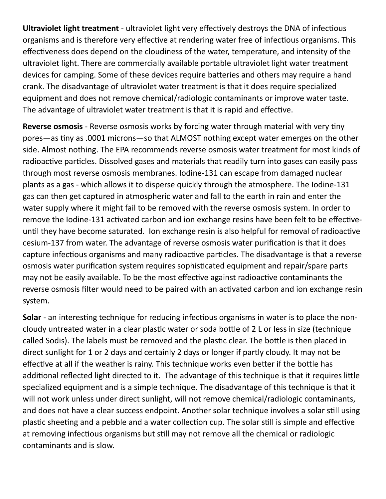**Ultraviolet light treatment** - ultraviolet light very effectively destroys the DNA of infectious organisms and is therefore very effective at rendering water free of infectious organisms. This effectiveness does depend on the cloudiness of the water, temperature, and intensity of the ultraviolet light. There are commercially available portable ultraviolet light water treatment devices for camping. Some of these devices require batteries and others may require a hand crank. The disadvantage of ultraviolet water treatment is that it does require specialized equipment and does not remove chemical/radiologic contaminants or improve water taste. The advantage of ultraviolet water treatment is that it is rapid and effective.

**Reverse osmosis** - Reverse osmosis works by forcing water through material with very tiny pores—as tiny as .0001 microns—so that ALMOST nothing except water emerges on the other side. Almost nothing. The EPA recommends reverse osmosis water treatment for most kinds of radioactive particles. Dissolved gases and materials that readily turn into gases can easily pass through most reverse osmosis membranes. Iodine-131 can escape from damaged nuclear plants as a gas - which allows it to disperse quickly through the atmosphere. The Iodine-131 gas can then get captured in atmospheric water and fall to the earth in rain and enter the water supply where it might fail to be removed with the reverse osmosis system. In order to remove the Iodine-131 activated carbon and ion exchange resins have been felt to be effectiveuntil they have become saturated. Ion exchange resin is also helpful for removal of radioactive cesium-137 from water. The advantage of reverse osmosis water purification is that it does capture infectious organisms and many radioactive particles. The disadvantage is that a reverse osmosis water purification system requires sophisticated equipment and repair/spare parts may not be easily available. To be the most effective against radioactive contaminants the reverse osmosis filter would need to be paired with an activated carbon and ion exchange resin system.

**Solar** - an interesting technique for reducing infectious organisms in water is to place the noncloudy untreated water in a clear plastic water or soda bottle of 2 L or less in size (technique called Sodis). The labels must be removed and the plastic clear. The bottle is then placed in direct sunlight for 1 or 2 days and certainly 2 days or longer if partly cloudy. It may not be effective at all if the weather is rainy. This technique works even better if the bottle has additional reflected light directed to it. The advantage of this technique is that it requires little specialized equipment and is a simple technique. The disadvantage of this technique is that it will not work unless under direct sunlight, will not remove chemical/radiologic contaminants, and does not have a clear success endpoint. Another solar technique involves a solar still using plastic sheeting and a pebble and a water collection cup. The solar still is simple and effective at removing infectious organisms but still may not remove all the chemical or radiologic contaminants and is slow.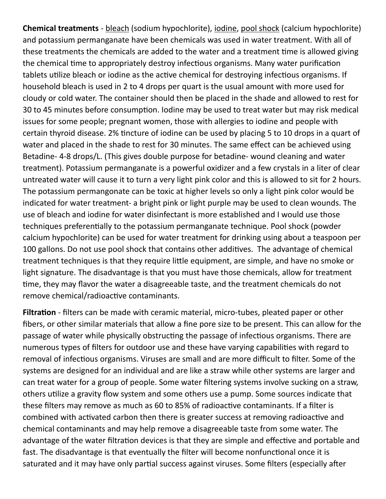**Chemical treatments** - bleach (sodium hypochlorite), iodine, pool shock (calcium hypochlorite) and potassium permanganate have been chemicals was used in water treatment. With all of these treatments the chemicals are added to the water and a treatment time is allowed giving the chemical time to appropriately destroy infectious organisms. Many water purification tablets utilize bleach or iodine as the active chemical for destroying infectious organisms. If household bleach is used in 2 to 4 drops per quart is the usual amount with more used for cloudy or cold water. The container should then be placed in the shade and allowed to rest for 30 to 45 minutes before consumption. Iodine may be used to treat water but may risk medical issues for some people; pregnant women, those with allergies to iodine and people with certain thyroid disease. 2% tincture of iodine can be used by placing 5 to 10 drops in a quart of water and placed in the shade to rest for 30 minutes. The same effect can be achieved using Betadine- 4-8 drops/L. (This gives double purpose for betadine- wound cleaning and water treatment). Potassium permanganate is a powerful oxidizer and a few crystals in a liter of clear untreated water will cause it to turn a very light pink color and this is allowed to sit for 2 hours. The potassium permangonate can be toxic at higher levels so only a light pink color would be indicated for water treatment- a bright pink or light purple may be used to clean wounds. The use of bleach and iodine for water disinfectant is more established and I would use those techniques preferentially to the potassium permanganate technique. Pool shock (powder calcium hypochlorite) can be used for water treatment for drinking using about a teaspoon per 100 gallons. Do not use pool shock that contains other additives. The advantage of chemical treatment techniques is that they require little equipment, are simple, and have no smoke or light signature. The disadvantage is that you must have those chemicals, allow for treatment time, they may flavor the water a disagreeable taste, and the treatment chemicals do not remove chemical/radioactive contaminants.

**Filtration** - filters can be made with ceramic material, micro-tubes, pleated paper or other fibers, or other similar materials that allow a fine pore size to be present. This can allow for the passage of water while physically obstructing the passage of infectious organisms. There are numerous types of filters for outdoor use and these have varying capabilities with regard to removal of infectious organisms. Viruses are small and are more difficult to filter. Some of the systems are designed for an individual and are like a straw while other systems are larger and can treat water for a group of people. Some water filtering systems involve sucking on a straw, others utilize a gravity flow system and some others use a pump. Some sources indicate that these filters may remove as much as 60 to 85% of radioactive contaminants. If a filter is combined with activated carbon then there is greater success at removing radioactive and chemical contaminants and may help remove a disagreeable taste from some water. The advantage of the water filtration devices is that they are simple and effective and portable and fast. The disadvantage is that eventually the filter will become nonfunctional once it is saturated and it may have only partial success against viruses. Some filters (especially after